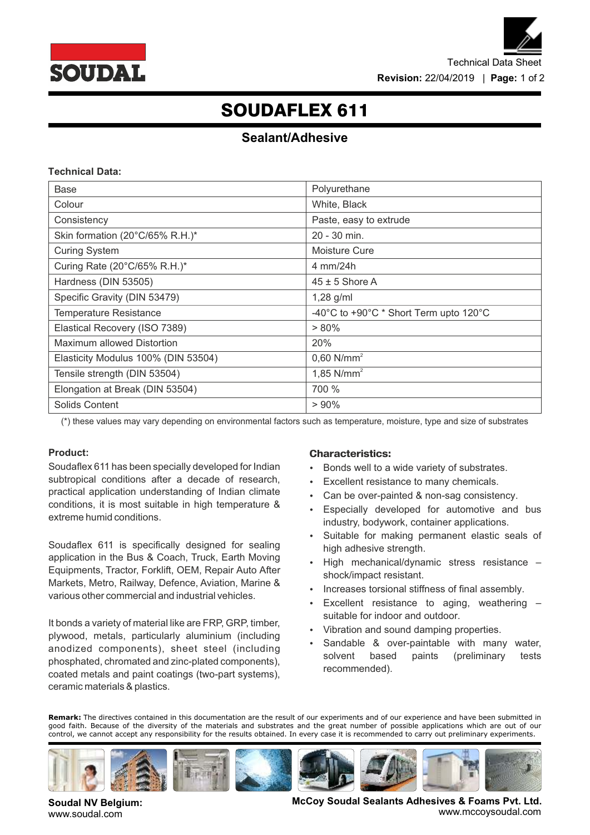

# SOUDAFLEX 611

## **Sealant/Adhesive**

### **Technical Data:**

| Base                                | Polyurethane                           |  |
|-------------------------------------|----------------------------------------|--|
| Colour                              | White, Black                           |  |
| Consistency                         | Paste, easy to extrude                 |  |
| Skin formation (20°C/65% R.H.)*     | 20 - 30 min.                           |  |
| <b>Curing System</b>                | Moisture Cure                          |  |
| Curing Rate (20°C/65% R.H.)*        | 4 mm/24h                               |  |
| Hardness (DIN 53505)                | $45 \pm 5$ Shore A                     |  |
| Specific Gravity (DIN 53479)        | $1,28$ g/ml                            |  |
| <b>Temperature Resistance</b>       | -40°C to +90°C * Short Term upto 120°C |  |
| Elastical Recovery (ISO 7389)       | $> 80\%$                               |  |
| Maximum allowed Distortion          | 20%                                    |  |
| Elasticity Modulus 100% (DIN 53504) | $0,60$ N/mm <sup>2</sup>               |  |
| Tensile strength (DIN 53504)        | 1,85 $N/mm2$                           |  |
| Elongation at Break (DIN 53504)     | 700 %                                  |  |
| Solids Content                      | $> 90\%$                               |  |

(\*) these values may vary depending on environmental factors such as temperature, moisture, type and size of substrates

## **Product:**

Soudaflex 611 has been specially developed for Indian subtropical conditions after a decade of research, practical application understanding of Indian climate conditions, it is most suitable in high temperature & extreme humid conditions.

Soudaflex 611 is specifically designed for sealing application in the Bus & Coach, Truck, Earth Moving Equipments, Tractor, Forklift, OEM, Repair Auto After Markets, Metro, Railway, Defence, Aviation, Marine & various other commercial and industrial vehicles.

It bonds a variety of material like are FRP, GRP, timber, plywood, metals, particularly aluminium (including anodized components), sheet steel (including phosphated, chromated and zinc-plated components), coated metals and paint coatings (two-part systems), ceramic materials & plastics.

#### **Characteristics:**

- Bonds well to a wide variety of substrates.
- Excellent resistance to many chemicals.
- Can be over-painted & non-sag consistency.
- Especially developed for automotive and bus industry, bodywork, container applications.
- Suitable for making permanent elastic seals of high adhesive strength.
- High mechanical/dynamic stress resistance shock/impact resistant.
- Increases torsional stiffness of final assembly.
- Excellent resistance to aging, weathering suitable for indoor and outdoor.
- Vibration and sound damping properties.
- Sandable & over-paintable with many water, solvent based paints (preliminary tests recommended).

**Remark:** The directives contained in this documentation are the result of our experiments and of our experience and have been submitted in good faith. Because of the diversity of the materials and substrates and the great number of possible applications which are out of our control, we cannot accept any responsibility for the results obtained. In every case it is recommended to carry out preliminary experiments.



**Soudal NV Belgium:** www.soudal.com

**McCoy Soudal Sealants Adhesives & Foams Pvt. Ltd.** www.mccoysoudal.com